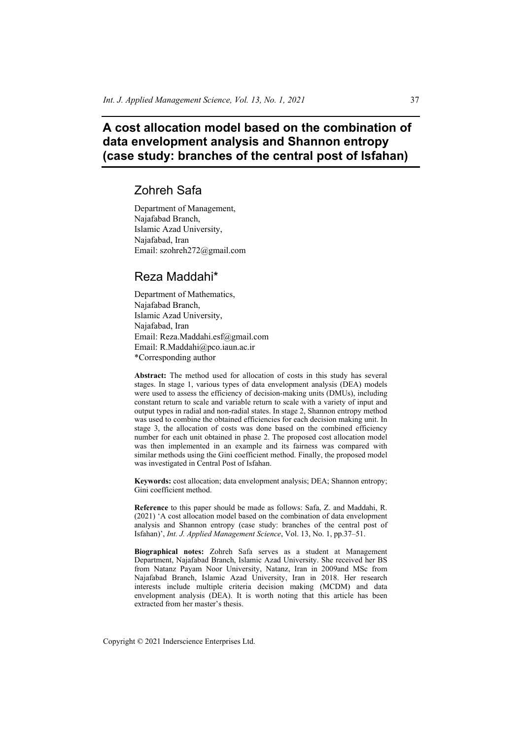# **A cost allocation model based on the combination of data envelopment analysis and Shannon entropy (case study: branches of the central post of Isfahan)**

# Zohreh Safa

Department of Management, Najafabad Branch, Islamic Azad University, Najafabad, Iran Email: szohreh272@gmail.com

# Reza Maddahi\*

Department of Mathematics, Najafabad Branch, Islamic Azad University, Najafabad, Iran Email: Reza.Maddahi.esf@gmail.com Email: R.Maddahi@pco.iaun.ac.ir \*Corresponding author

**Abstract:** The method used for allocation of costs in this study has several stages. In stage 1, various types of data envelopment analysis (DEA) models were used to assess the efficiency of decision-making units (DMUs), including constant return to scale and variable return to scale with a variety of input and output types in radial and non-radial states. In stage 2, Shannon entropy method was used to combine the obtained efficiencies for each decision making unit. In stage 3, the allocation of costs was done based on the combined efficiency number for each unit obtained in phase 2. The proposed cost allocation model was then implemented in an example and its fairness was compared with similar methods using the Gini coefficient method. Finally, the proposed model was investigated in Central Post of Isfahan.

**Keywords:** cost allocation; data envelopment analysis; DEA; Shannon entropy; Gini coefficient method.

**Reference** to this paper should be made as follows: Safa, Z. and Maddahi, R. (2021) 'A cost allocation model based on the combination of data envelopment analysis and Shannon entropy (case study: branches of the central post of Isfahan)', *Int. J. Applied Management Science*, Vol. 13, No. 1, pp.37–51.

**Biographical notes:** Zohreh Safa serves as a student at Management Department, Najafabad Branch, Islamic Azad University. She received her BS from Natanz Payam Noor University, Natanz, Iran in 2009and MSc from Najafabad Branch, Islamic Azad University, Iran in 2018. Her research interests include multiple criteria decision making (MCDM) and data envelopment analysis (DEA). It is worth noting that this article has been extracted from her master's thesis.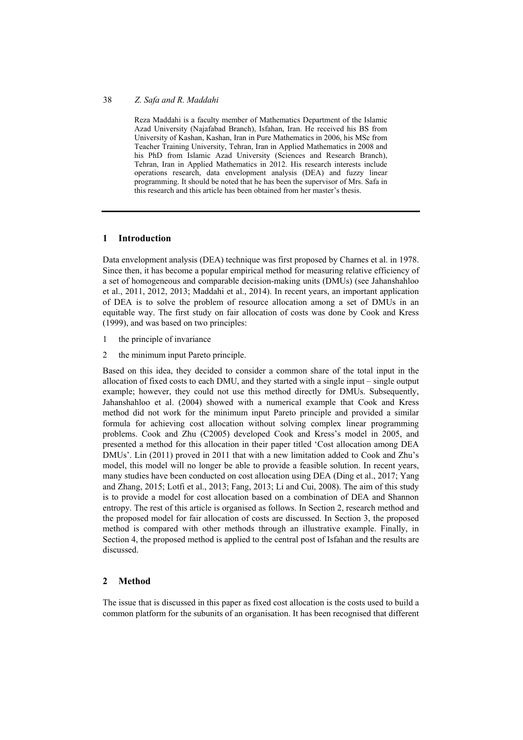#### 38 *Z. Safa and R. Maddahi*

Reza Maddahi is a faculty member of Mathematics Department of the Islamic Azad University (Najafabad Branch), Isfahan, Iran. He received his BS from University of Kashan, Kashan, Iran in Pure Mathematics in 2006, his MSc from Teacher Training University, Tehran, Iran in Applied Mathematics in 2008 and his PhD from Islamic Azad University (Sciences and Research Branch), Tehran, Iran in Applied Mathematics in 2012. His research interests include operations research, data envelopment analysis (DEA) and fuzzy linear programming. It should be noted that he has been the supervisor of Mrs. Safa in this research and this article has been obtained from her master's thesis.

### **1 Introduction**

Data envelopment analysis (DEA) technique was first proposed by Charnes et al. in 1978. Since then, it has become a popular empirical method for measuring relative efficiency of a set of homogeneous and comparable decision-making units (DMUs) (see Jahanshahloo et al., 2011, 2012, 2013; Maddahi et al., 2014). In recent years, an important application of DEA is to solve the problem of resource allocation among a set of DMUs in an equitable way. The first study on fair allocation of costs was done by Cook and Kress (1999), and was based on two principles:

- 1 the principle of invariance
- 2 the minimum input Pareto principle.

Based on this idea, they decided to consider a common share of the total input in the allocation of fixed costs to each DMU, and they started with a single input – single output example; however, they could not use this method directly for DMUs. Subsequently, Jahanshahloo et al. (2004) showed with a numerical example that Cook and Kress method did not work for the minimum input Pareto principle and provided a similar formula for achieving cost allocation without solving complex linear programming problems. Cook and Zhu (C2005) developed Cook and Kress's model in 2005, and presented a method for this allocation in their paper titled 'Cost allocation among DEA DMUs'. Lin (2011) proved in 2011 that with a new limitation added to Cook and Zhu's model, this model will no longer be able to provide a feasible solution. In recent years, many studies have been conducted on cost allocation using DEA (Ding et al., 2017; Yang and Zhang, 2015; Lotfi et al., 2013; Fang, 2013; Li and Cui, 2008). The aim of this study is to provide a model for cost allocation based on a combination of DEA and Shannon entropy. The rest of this article is organised as follows. In Section 2, research method and the proposed model for fair allocation of costs are discussed. In Section 3, the proposed method is compared with other methods through an illustrative example. Finally, in Section 4, the proposed method is applied to the central post of Isfahan and the results are discussed.

## **2 Method**

The issue that is discussed in this paper as fixed cost allocation is the costs used to build a common platform for the subunits of an organisation. It has been recognised that different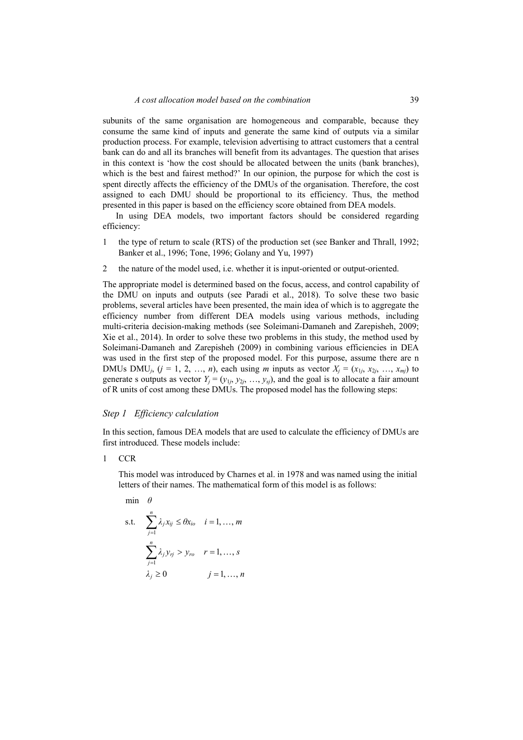subunits of the same organisation are homogeneous and comparable, because they consume the same kind of inputs and generate the same kind of outputs via a similar production process. For example, television advertising to attract customers that a central bank can do and all its branches will benefit from its advantages. The question that arises in this context is 'how the cost should be allocated between the units (bank branches), which is the best and fairest method?' In our opinion, the purpose for which the cost is spent directly affects the efficiency of the DMUs of the organisation. Therefore, the cost assigned to each DMU should be proportional to its efficiency. Thus, the method presented in this paper is based on the efficiency score obtained from DEA models.

In using DEA models, two important factors should be considered regarding efficiency:

- 1 the type of return to scale (RTS) of the production set (see Banker and Thrall, 1992; Banker et al., 1996; Tone, 1996; Golany and Yu, 1997)
- 2 the nature of the model used, i.e. whether it is input-oriented or output-oriented.

The appropriate model is determined based on the focus, access, and control capability of the DMU on inputs and outputs (see Paradi et al., 2018). To solve these two basic problems, several articles have been presented, the main idea of which is to aggregate the efficiency number from different DEA models using various methods, including multi-criteria decision-making methods (see Soleimani-Damaneh and Zarepisheh, 2009; Xie et al., 2014). In order to solve these two problems in this study, the method used by Soleimani-Damaneh and Zarepisheh (2009) in combining various efficiencies in DEA was used in the first step of the proposed model. For this purpose, assume there are n DMUs DMU<sub>i</sub>,  $(j = 1, 2, ..., n)$ , each using *m* inputs as vector  $X_i = (x_{1i}, x_{2i}, ..., x_{mi})$  to generate s outputs as vector  $Y_j = (y_{1j}, y_{2j}, ..., y_{sj})$ , and the goal is to allocate a fair amount of R units of cost among these DMUs. The proposed model has the following steps:

#### *Step 1 Efficiency calculation*

In this section, famous DEA models that are used to calculate the efficiency of DMUs are first introduced. These models include:

1 CCR

This model was introduced by Charnes et al. in 1978 and was named using the initial letters of their names. The mathematical form of this model is as follows:

min *θ*

s.t. 
$$
\sum_{j=1}^{n} \lambda_j x_{ij} \le \theta x_{io} \quad i = 1, ..., m
$$

$$
\sum_{j=1}^{n} \lambda_j y_{rj} > y_{ro} \quad r = 1, ..., s
$$

$$
\lambda_j \ge 0 \qquad j = 1, ..., n
$$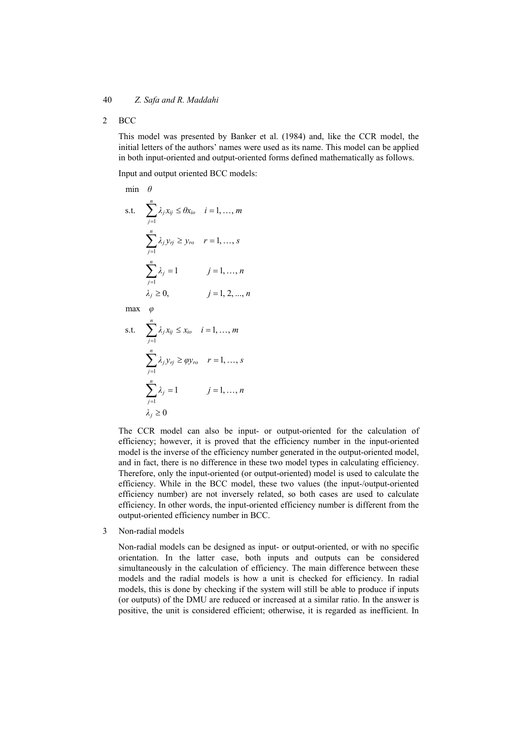2 BCC

This model was presented by Banker et al. (1984) and, like the CCR model, the initial letters of the authors' names were used as its name. This model can be applied in both input-oriented and output-oriented forms defined mathematically as follows.

Input and output oriented BCC models:

$$
\begin{aligned}\n\min \quad & \theta \\
\text{s.t.} \quad & \sum_{j=1}^{n} \lambda_j x_{ij} \leq \theta x_{io} \quad i = 1, \dots, m \\
& \sum_{j=1}^{n} \lambda_j y_{rj} \geq y_{ro} \quad r = 1, \dots, s \\
& \sum_{j=1}^{n} \lambda_j = 1 \quad j = 1, \dots, n \\
& \lambda_j \geq 0, \quad j = 1, 2, \dots, n\n\end{aligned}
$$

max *φ*

s.t. 
$$
\sum_{j=1}^{n} \lambda_j x_{ij} \le x_{io} \quad i = 1, ..., m
$$

$$
\sum_{j=1}^{n} \lambda_j y_{rj} \ge \varphi y_{ro} \quad r = 1, ..., s
$$

$$
\sum_{j=1}^{n} \lambda_j = 1 \qquad j = 1, ..., n
$$

$$
\lambda_j \ge 0
$$

The CCR model can also be input- or output-oriented for the calculation of efficiency; however, it is proved that the efficiency number in the input-oriented model is the inverse of the efficiency number generated in the output-oriented model, and in fact, there is no difference in these two model types in calculating efficiency. Therefore, only the input-oriented (or output-oriented) model is used to calculate the efficiency. While in the BCC model, these two values (the input-/output-oriented efficiency number) are not inversely related, so both cases are used to calculate efficiency. In other words, the input-oriented efficiency number is different from the output-oriented efficiency number in BCC.

3 Non-radial models

Non-radial models can be designed as input- or output-oriented, or with no specific orientation. In the latter case, both inputs and outputs can be considered simultaneously in the calculation of efficiency. The main difference between these models and the radial models is how a unit is checked for efficiency. In radial models, this is done by checking if the system will still be able to produce if inputs (or outputs) of the DMU are reduced or increased at a similar ratio. In the answer is positive, the unit is considered efficient; otherwise, it is regarded as inefficient. In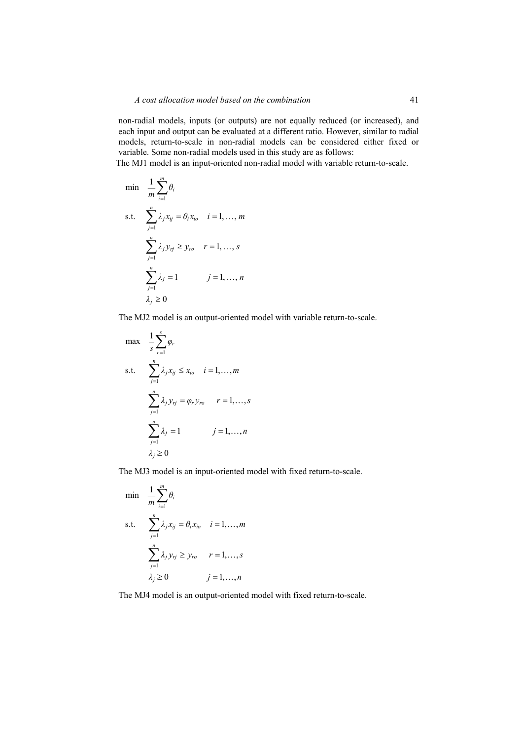non-radial models, inputs (or outputs) are not equally reduced (or increased), and each input and output can be evaluated at a different ratio. However, similar to radial models, return-to-scale in non-radial models can be considered either fixed or variable. Some non-radial models used in this study are as follows:

The MJ1 model is an input-oriented non-radial model with variable return-to-scale.

$$
\begin{aligned}\n\min & \quad \frac{1}{m} \sum_{i=1}^{m} \theta_i \\
\text{s.t.} & \quad \sum_{j=1}^{n} \lambda_j x_{ij} = \theta_i x_{io} \quad i = 1, \dots, m \\
& \quad \sum_{j=1}^{n} \lambda_j y_{rj} \ge y_{ro} \quad r = 1, \dots, s \\
& \quad \sum_{j=1}^{n} \lambda_j = 1 \quad j = 1, \dots, n \\
& \quad \lambda_j \ge 0\n\end{aligned}
$$

The MJ2 model is an output-oriented model with variable return-to-scale.

$$
\max \quad \frac{1}{s} \sum_{r=1}^{s} \varphi_r
$$
\n
$$
\text{s.t.} \quad \sum_{j=1}^{n} \lambda_j x_{ij} \le x_{io} \quad i = 1, \dots, m
$$
\n
$$
\sum_{j=1}^{n} \lambda_j y_{rj} = \varphi_r y_{ro} \quad r = 1, \dots, s
$$
\n
$$
\sum_{j=1}^{n} \lambda_j = 1 \quad j = 1, \dots, n
$$
\n
$$
\lambda_j \ge 0
$$

The MJ3 model is an input-oriented model with fixed return-to-scale.

min 
$$
\frac{1}{m} \sum_{i=1}^{m} \theta_i
$$
  
s.t.  $\sum_{j=1}^{n} \lambda_j x_{ij} = \theta_i x_{io}$   $i = 1,..., m$   
 $\sum_{j=1}^{n} \lambda_j y_{rj} \ge y_{ro}$   $r = 1,..., s$   
 $\lambda_j \ge 0$   $j = 1,..., n$ 

The MJ4 model is an output-oriented model with fixed return-to-scale.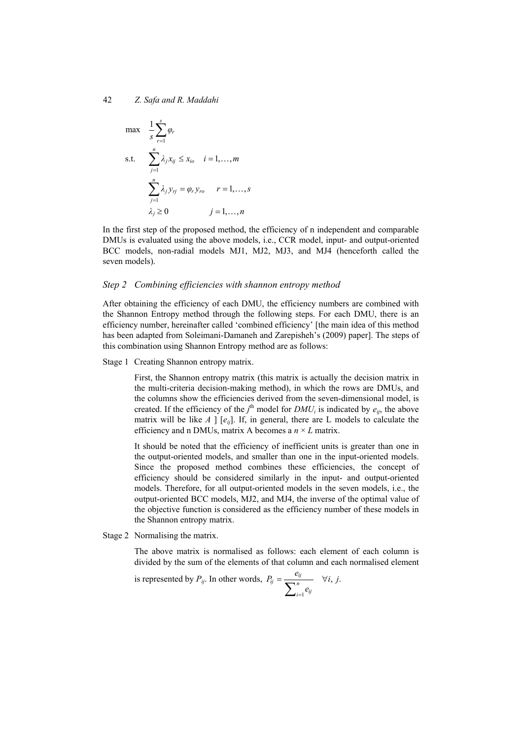$$
\max \quad \frac{1}{s} \sum_{r=1}^{s} \varphi_r
$$
\n
$$
\text{s.t.} \quad \sum_{j=1}^{n} \lambda_j x_{ij} \le x_{io} \quad i = 1, \dots, m
$$
\n
$$
\sum_{j=1}^{n} \lambda_j y_{rj} = \varphi_r y_{ro} \quad r = 1, \dots, s
$$
\n
$$
\lambda_j \ge 0 \quad j = 1, \dots, n
$$

In the first step of the proposed method, the efficiency of n independent and comparable DMUs is evaluated using the above models, i.e., CCR model, input- and output-oriented BCC models, non-radial models MJ1, MJ2, MJ3, and MJ4 (henceforth called the seven models).

#### *Step 2 Combining efficiencies with shannon entropy method*

After obtaining the efficiency of each DMU, the efficiency numbers are combined with the Shannon Entropy method through the following steps. For each DMU, there is an efficiency number, hereinafter called 'combined efficiency' [the main idea of this method has been adapted from Soleimani-Damaneh and Zarepisheh's (2009) paper]. The steps of this combination using Shannon Entropy method are as follows:

Stage 1 Creating Shannon entropy matrix.

First, the Shannon entropy matrix (this matrix is actually the decision matrix in the multi-criteria decision-making method), in which the rows are DMUs, and the columns show the efficiencies derived from the seven-dimensional model, is created. If the efficiency of the  $j^{\text{th}}$  model for  $DMU_i$  is indicated by  $e_{ij}$ , the above matrix will be like  $A \mid [e_{ij}]$ . If, in general, there are L models to calculate the efficiency and n DMUs, matrix A becomes a *n* × *L* matrix.

It should be noted that the efficiency of inefficient units is greater than one in the output-oriented models, and smaller than one in the input-oriented models. Since the proposed method combines these efficiencies, the concept of efficiency should be considered similarly in the input- and output-oriented models. Therefore, for all output-oriented models in the seven models, i.e., the output-oriented BCC models, MJ2, and MJ4, the inverse of the optimal value of the objective function is considered as the efficiency number of these models in the Shannon entropy matrix.

Stage 2 Normalising the matrix.

The above matrix is normalised as follows: each element of each column is divided by the sum of the elements of that column and each normalised element

is represented by 
$$
P_{ij}
$$
. In other words,  $P_{ij} = \frac{e_{ij}}{\sum_{i=1}^{n} e_{ij}} \quad \forall i, j.$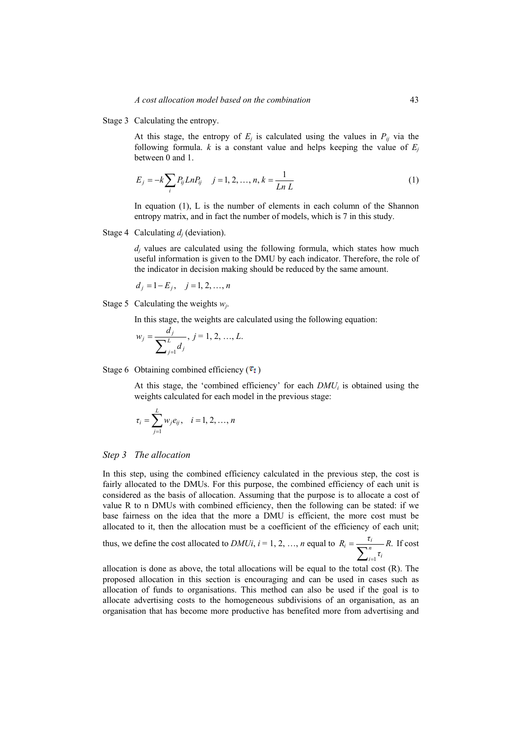Stage 3 Calculating the entropy.

At this stage, the entropy of  $E_j$  is calculated using the values in  $P_{ij}$  via the following formula.  $k$  is a constant value and helps keeping the value of  $E_i$ between 0 and 1.

$$
E_j = -k \sum_i P_{ij} LnP_{ij} \quad j = 1, 2, ..., n, k = \frac{1}{Ln L}
$$
 (1)

In equation  $(1)$ , L is the number of elements in each column of the Shannon entropy matrix, and in fact the number of models, which is 7 in this study.

Stage 4 Calculating  $d_i$  (deviation).

*dj* values are calculated using the following formula, which states how much useful information is given to the DMU by each indicator. Therefore, the role of the indicator in decision making should be reduced by the same amount.

$$
d_j = 1 - E_j
$$
,  $j = 1, 2, ..., n$ 

Stage 5 Calculating the weights *wj*.

In this stage, the weights are calculated using the following equation:

$$
w_j = \frac{d_j}{\sum_{j=1}^L d_j}, \ j = 1, 2, ..., L.
$$

Stage 6 Obtaining combined efficiency  $(\tau_i)$ 

At this stage, the 'combined efficiency' for each  $DMU_i$  is obtained using the weights calculated for each model in the previous stage:

$$
\tau_i = \sum_{j=1}^L w_j e_{ij}, \quad i = 1, 2, ..., n
$$

#### *Step 3 The allocation*

In this step, using the combined efficiency calculated in the previous step, the cost is fairly allocated to the DMUs. For this purpose, the combined efficiency of each unit is considered as the basis of allocation. Assuming that the purpose is to allocate a cost of value R to n DMUs with combined efficiency, then the following can be stated: if we base fairness on the idea that the more a DMU is efficient, the more cost must be allocated to it, then the allocation must be a coefficient of the efficiency of each unit;

thus, we define the cost allocated to *DMUi*, 
$$
i = 1, 2, ..., n
$$
 equal to  $R_i = \frac{\tau_i}{\sum_{i=1}^{n} \tau_i} R$ . If cost

allocation is done as above, the total allocations will be equal to the total cost (R). The proposed allocation in this section is encouraging and can be used in cases such as allocation of funds to organisations. This method can also be used if the goal is to allocate advertising costs to the homogeneous subdivisions of an organisation, as an organisation that has become more productive has benefited more from advertising and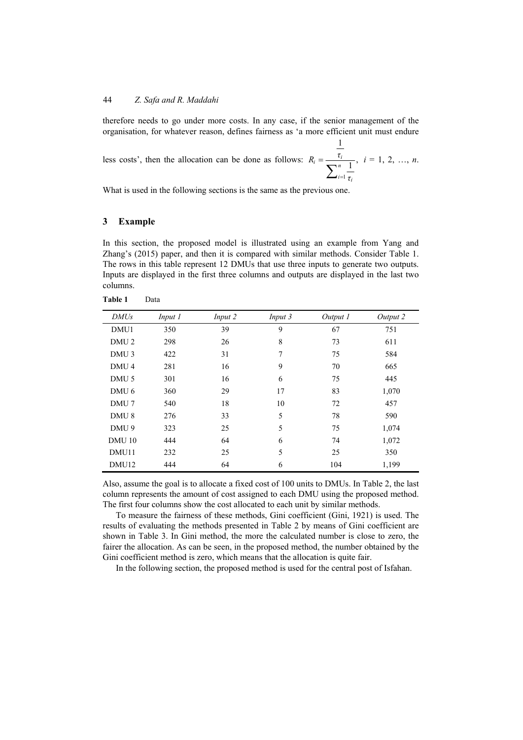therefore needs to go under more costs. In any case, if the senior management of the organisation, for whatever reason, defines fairness as 'a more efficient unit must endure

less costs', then the allocation can be done as follows: 1 1  $\mathbf{v}_i = \frac{\tau_i}{\nabla^n}$ ,  $i=1$   $\tau$ <sub>i</sub>  $R_i = \frac{\tau}{\sqrt{2\pi}}$ *τ* =  $\sum$  $i = 1, 2, ..., n$ .

What is used in the following sections is the same as the previous one.

## **3 Example**

**Table 1** Data

In this section, the proposed model is illustrated using an example from Yang and Zhang's (2015) paper, and then it is compared with similar methods. Consider Table 1. The rows in this table represent 12 DMUs that use three inputs to generate two outputs. Inputs are displayed in the first three columns and outputs are displayed in the last two columns.

| <b>DMUs</b>      | Input 1 | Input 2 | Input 3 | Output 1 | Output 2 |
|------------------|---------|---------|---------|----------|----------|
| DMU1             | 350     | 39      | 9       | 67       | 751      |
| DMU <sub>2</sub> | 298     | 26      | 8       | 73       | 611      |
| DMU <sub>3</sub> | 422     | 31      | 7       | 75       | 584      |
| DMU <sub>4</sub> | 281     | 16      | 9       | 70       | 665      |
| DMU <sub>5</sub> | 301     | 16      | 6       | 75       | 445      |
| DMU <sub>6</sub> | 360     | 29      | 17      | 83       | 1,070    |
| DMU <sub>7</sub> | 540     | 18      | 10      | 72       | 457      |
| DMU <sub>8</sub> | 276     | 33      | 5       | 78       | 590      |
| DMU <sub>9</sub> | 323     | 25      | 5       | 75       | 1,074    |
| <b>DMU 10</b>    | 444     | 64      | 6       | 74       | 1,072    |
| DMU11            | 232     | 25      | 5       | 25       | 350      |
| DMU12            | 444     | 64      | 6       | 104      | 1,199    |

Also, assume the goal is to allocate a fixed cost of 100 units to DMUs. In Table 2, the last column represents the amount of cost assigned to each DMU using the proposed method. The first four columns show the cost allocated to each unit by similar methods.

To measure the fairness of these methods, Gini coefficient (Gini, 1921) is used. The results of evaluating the methods presented in Table 2 by means of Gini coefficient are shown in Table 3. In Gini method, the more the calculated number is close to zero, the fairer the allocation. As can be seen, in the proposed method, the number obtained by the Gini coefficient method is zero, which means that the allocation is quite fair.

In the following section, the proposed method is used for the central post of Isfahan.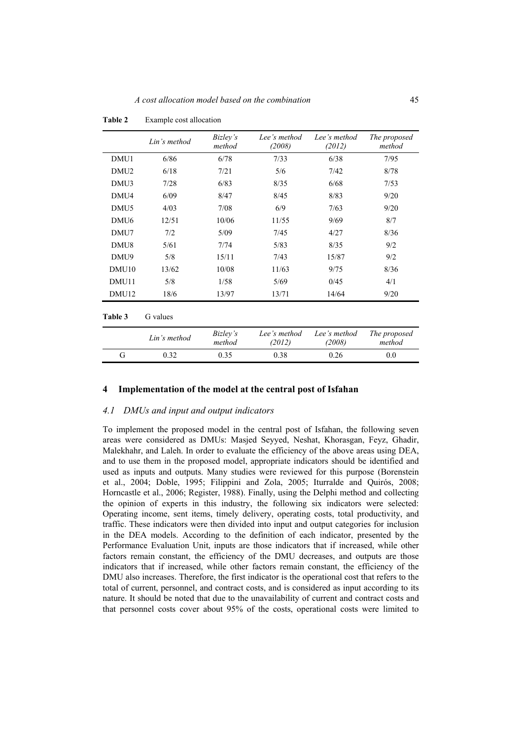|                   | Lin's method | Bizley's<br>method | Lee's method<br>(2008) | Lee's method<br>(2012) | The proposed<br>method |
|-------------------|--------------|--------------------|------------------------|------------------------|------------------------|
| DMU1              | 6/86         |                    | 7/33                   | 6/38                   | 7/95                   |
| DMU <sub>2</sub>  | 6/18         | 7/21               | 5/6                    | 7/42                   | 8/78                   |
| DMU3              | 7/28         | 6/83               | 8/35                   | 6/68                   | 7/53                   |
| DMU4              | 6/09         | 8/47               | 8/45                   | 8/83                   | 9/20                   |
| DMU <sub>5</sub>  | 4/03         | 7/08               | 6/9                    | 7/63                   | 9/20                   |
| DMU <sub>6</sub>  | 12/51        | 10/06              | 11/55                  | 9/69                   | 8/7                    |
| DMU7              | 7/2          | 5/09               | 7/45                   | 4/27                   | 8/36                   |
| DMU8              | 5/61         | 7/74               | 5/83                   | 8/35                   | 9/2                    |
| DMU9              | 5/8          | 15/11              | 7/43                   | 15/87                  | 9/2                    |
| DMU <sub>10</sub> | 13/62        | 10/08              | 11/63                  | 9/75                   | 8/36                   |
| DMU11             | 5/8          | 1/58               | 5/69                   | 0/45                   | 4/1                    |
| DMU <sub>12</sub> | 18/6         | 13/97              | 13/71                  | 14/64                  | 9/20                   |
| Table 3           | G values     |                    |                        |                        |                        |
|                   | Lin's method | Bizley's<br>method | Lee's method<br>(2012) | Lee's method<br>(2008) | The proposed<br>method |
| G                 | 0.32         | 0.35               | 0.38                   | 0.26                   | 0.0                    |

**Table 2** Example cost allocation

#### **4 Implementation of the model at the central post of Isfahan**

#### *4.1 DMUs and input and output indicators*

To implement the proposed model in the central post of Isfahan, the following seven areas were considered as DMUs: Masjed Seyyed, Neshat, Khorasgan, Feyz, Ghadir, Malekhahr, and Laleh. In order to evaluate the efficiency of the above areas using DEA, and to use them in the proposed model, appropriate indicators should be identified and used as inputs and outputs. Many studies were reviewed for this purpose (Borenstein et al., 2004; Doble, 1995; Filippini and Zola, 2005; Iturralde and Quirós, 2008; Horncastle et al., 2006; Register, 1988). Finally, using the Delphi method and collecting the opinion of experts in this industry, the following six indicators were selected: Operating income, sent items, timely delivery, operating costs, total productivity, and traffic. These indicators were then divided into input and output categories for inclusion in the DEA models. According to the definition of each indicator, presented by the Performance Evaluation Unit, inputs are those indicators that if increased, while other factors remain constant, the efficiency of the DMU decreases, and outputs are those indicators that if increased, while other factors remain constant, the efficiency of the DMU also increases. Therefore, the first indicator is the operational cost that refers to the total of current, personnel, and contract costs, and is considered as input according to its nature. It should be noted that due to the unavailability of current and contract costs and that personnel costs cover about 95% of the costs, operational costs were limited to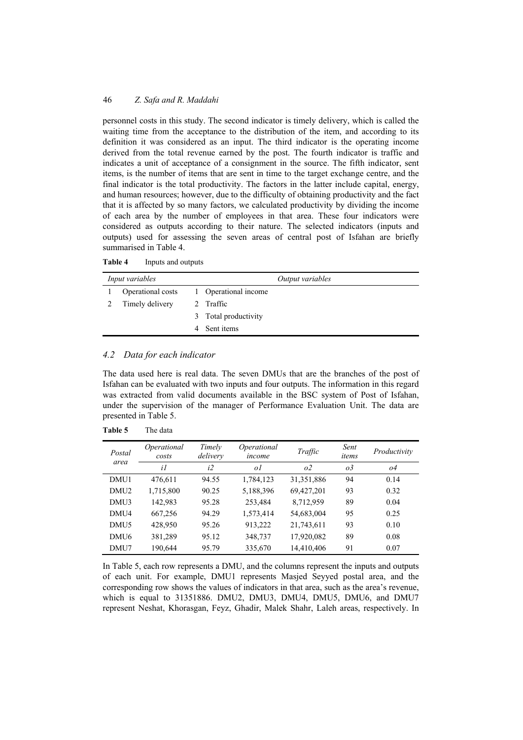personnel costs in this study. The second indicator is timely delivery, which is called the waiting time from the acceptance to the distribution of the item, and according to its definition it was considered as an input. The third indicator is the operating income derived from the total revenue earned by the post. The fourth indicator is traffic and indicates a unit of acceptance of a consignment in the source. The fifth indicator, sent items, is the number of items that are sent in time to the target exchange centre, and the final indicator is the total productivity. The factors in the latter include capital, energy, and human resources; however, due to the difficulty of obtaining productivity and the fact that it is affected by so many factors, we calculated productivity by dividing the income of each area by the number of employees in that area. These four indicators were considered as outputs according to their nature. The selected indicators (inputs and outputs) used for assessing the seven areas of central post of Isfahan are briefly summarised in Table 4.

| <i>Input variables</i> |                   |  |                      | Output variables |
|------------------------|-------------------|--|----------------------|------------------|
|                        | Operational costs |  | 1 Operational income |                  |
|                        | Timely delivery   |  | 2 Traffic            |                  |
|                        |                   |  | 3 Total productivity |                  |
|                        |                   |  | Sent items           |                  |

# *4.2 Data for each indicator*

The data used here is real data. The seven DMUs that are the branches of the post of Isfahan can be evaluated with two inputs and four outputs. The information in this regard was extracted from valid documents available in the BSC system of Post of Isfahan, under the supervision of the manager of Performance Evaluation Unit. The data are presented in Table 5.

| Postal<br>area   | <i>Operational</i><br>costs | Timely<br>delivery | Operational<br>income | Traffic        | Sent<br>items | Productivity |
|------------------|-----------------------------|--------------------|-----------------------|----------------|---------------|--------------|
|                  | i1                          | i2                 | οl                    | O <sup>2</sup> | $\sigma$ 3    | 04           |
| DMU1             | 476,611                     | 94.55              | 1,784,123             | 31,351,886     | 94            | 0.14         |
| DMU <sub>2</sub> | 1,715,800                   | 90.25              | 5,188,396             | 69,427,201     | 93            | 0.32         |
| DMU3             | 142,983                     | 95.28              | 253,484               | 8,712,959      | 89            | 0.04         |
| DMU4             | 667,256                     | 94.29              | 1,573,414             | 54,683,004     | 95            | 0.25         |
| DMU <sub>5</sub> | 428,950                     | 95.26              | 913,222               | 21,743,611     | 93            | 0.10         |
| DMU <sub>6</sub> | 381,289                     | 95.12              | 348,737               | 17,920,082     | 89            | 0.08         |
| DMU7             | 190,644                     | 95.79              | 335,670               | 14,410,406     | 91            | 0.07         |

**Table 5** The data

In Table 5, each row represents a DMU, and the columns represent the inputs and outputs of each unit. For example, DMU1 represents Masjed Seyyed postal area, and the corresponding row shows the values of indicators in that area, such as the area's revenue, which is equal to 31351886. DMU2, DMU3, DMU4, DMU5, DMU6, and DMU7 represent Neshat, Khorasgan, Feyz, Ghadir, Malek Shahr, Laleh areas, respectively. In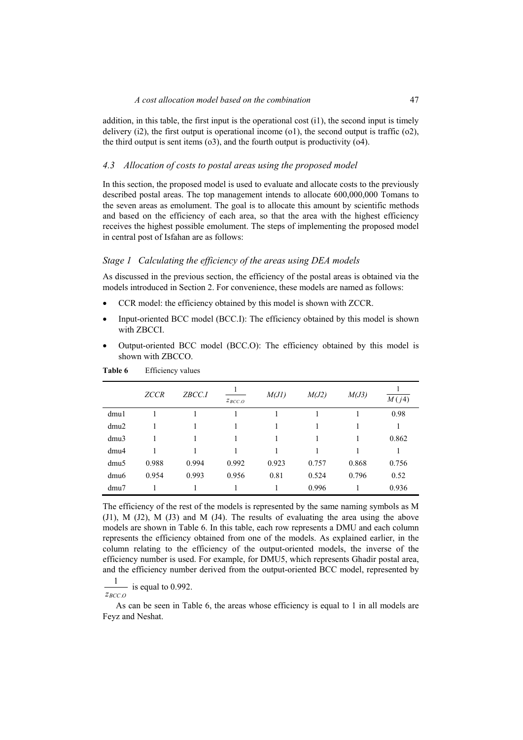addition, in this table, the first input is the operational cost  $(i)$ , the second input is timely delivery  $(i2)$ , the first output is operational income  $(01)$ , the second output is traffic  $(02)$ , the third output is sent items (o3), and the fourth output is productivity (o4).

#### *4.3 Allocation of costs to postal areas using the proposed model*

In this section, the proposed model is used to evaluate and allocate costs to the previously described postal areas. The top management intends to allocate 600,000,000 Tomans to the seven areas as emolument. The goal is to allocate this amount by scientific methods and based on the efficiency of each area, so that the area with the highest efficiency receives the highest possible emolument. The steps of implementing the proposed model in central post of Isfahan are as follows:

### *Stage 1 Calculating the efficiency of the areas using DEA models*

As discussed in the previous section, the efficiency of the postal areas is obtained via the models introduced in Section 2. For convenience, these models are named as follows:

- CCR model: the efficiency obtained by this model is shown with ZCCR.
- Input-oriented BCC model (BCC.I): The efficiency obtained by this model is shown with ZBCCI.
- Output-oriented BCC model (BCC.O): The efficiency obtained by this model is shown with ZBCCO.

|                  | <b>ZCCR</b> | ZBCC.I | $z_{BCC,0}$ | M(J)  | M(J2) | M(J3) | M(j4) |
|------------------|-------------|--------|-------------|-------|-------|-------|-------|
| dmu1             |             |        |             |       |       |       | 0.98  |
| dmu2             |             |        |             |       |       |       |       |
| dmu3             |             |        |             |       |       |       | 0.862 |
| dmu <sub>4</sub> |             |        |             |       |       |       |       |
| dmu <sub>5</sub> | 0.988       | 0.994  | 0.992       | 0.923 | 0.757 | 0.868 | 0.756 |
| dmu <sub>6</sub> | 0.954       | 0.993  | 0.956       | 0.81  | 0.524 | 0.796 | 0.52  |
| dmu7             |             |        |             |       | 0.996 |       | 0.936 |

**Table 6** Efficiency values

The efficiency of the rest of the models is represented by the same naming symbols as M (J1), M (J2), M (J3) and M (J4). The results of evaluating the area using the above models are shown in Table 6. In this table, each row represents a DMU and each column represents the efficiency obtained from one of the models. As explained earlier, in the column relating to the efficiency of the output-oriented models, the inverse of the efficiency number is used. For example, for DMU5, which represents Ghadir postal area, and the efficiency number derived from the output-oriented BCC model, represented by

. 1  $\frac{1}{z_{BCC.O}}$  is equal to 0.992.

As can be seen in Table 6, the areas whose efficiency is equal to 1 in all models are Feyz and Neshat.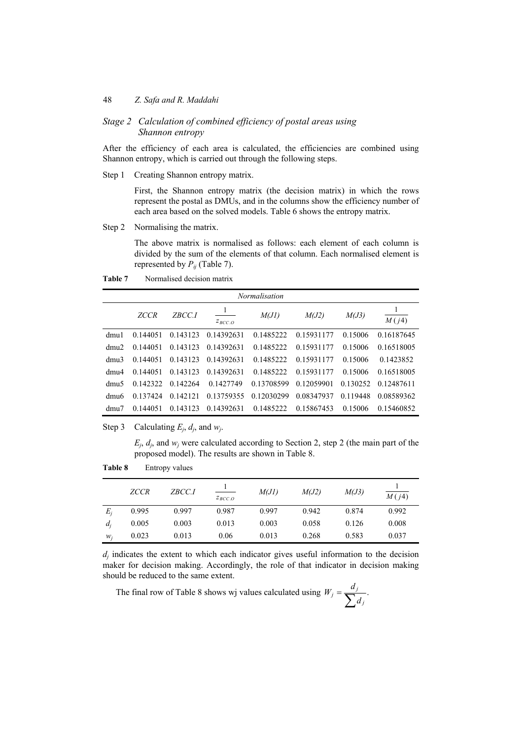## *Stage 2 Calculation of combined efficiency of postal areas using Shannon entropy*

After the efficiency of each area is calculated, the efficiencies are combined using Shannon entropy, which is carried out through the following steps.

Step 1 Creating Shannon entropy matrix.

First, the Shannon entropy matrix (the decision matrix) in which the rows represent the postal as DMUs, and in the columns show the efficiency number of each area based on the solved models. Table 6 shows the entropy matrix.

Step 2 Normalising the matrix.

The above matrix is normalised as follows: each element of each column is divided by the sum of the elements of that column. Each normalised element is represented by  $P_{ii}$  (Table 7).

|                  | <b>Normalisation</b> |               |               |            |            |          |            |  |  |  |
|------------------|----------------------|---------------|---------------|------------|------------|----------|------------|--|--|--|
|                  | <b>ZCCR</b>          | <i>ZBCC.I</i> | $Z_{BCC}$ $Q$ | M(J)       | M(J2)      | M(J3)    | M(j4)      |  |  |  |
| dmu1             | 0.144051             | 0.143123      | 0.14392631    | 0.1485222  | 0.15931177 | 0.15006  | 0.16187645 |  |  |  |
| dmu2             | 0.144051             | 0.143123      | 0.14392631    | 0.1485222  | 0.15931177 | 0.15006  | 0.16518005 |  |  |  |
| dm <sub>11</sub> | 0.144051             | 0.143123      | 0.14392631    | 0.1485222  | 0.15931177 | 0.15006  | 0.1423852  |  |  |  |
| dm <sub>14</sub> | 0.144051             | 0.143123      | 0.14392631    | 0.1485222  | 0.15931177 | 0.15006  | 0.16518005 |  |  |  |
| dmu <sub>5</sub> | 0.142322             | 0 142264      | 0 1427749     | 0.13708599 | 0.12059901 | 0.130252 | 0 12487611 |  |  |  |
| dmu <sub>6</sub> | 0 137424             | 0.142121      | 0.13759355    | 0.12030299 | 0.08347937 | 0.119448 | 0.08589362 |  |  |  |
| dmu7             | 0.144051             | 0.143123      | 0.14392631    | 0.1485222  | 0.15867453 | 0.15006  | 0.15460852 |  |  |  |

**Table 7** Normalised decision matrix

Step 3 Calculating  $E_i$ ,  $d_i$ , and  $w_i$ .

 $E_j$ ,  $d_j$ , and  $w_j$  were calculated according to Section 2, step 2 (the main part of the proposed model). The results are shown in Table 8.

|       | <b>ZCCR</b> | ZBCC.I | $Z_{BCC, O}$ | M(J)  | M(J2) | M(J3) | $\overline{M(j4)}$ |
|-------|-------------|--------|--------------|-------|-------|-------|--------------------|
| $E_i$ | 0.995       | 0.997  | 0.987        | 0.997 | 0.942 | 0.874 | 0.992              |
| $d_i$ | 0.005       | 0.003  | 0.013        | 0.003 | 0.058 | 0.126 | 0.008              |
| $W_i$ | 0.023       | 0.013  | 0.06         | 0.013 | 0.268 | 0.583 | 0.037              |

**Table 8** Entropy values

 $d_i$  indicates the extent to which each indicator gives useful information to the decision maker for decision making. Accordingly, the role of that indicator in decision making should be reduced to the same extent.

The final row of Table 8 shows wj values calculated using  $W_j = \frac{a_j}{\sum_j a_j}$ . *j*  $W_j = \frac{d_j}{\sum d_j}$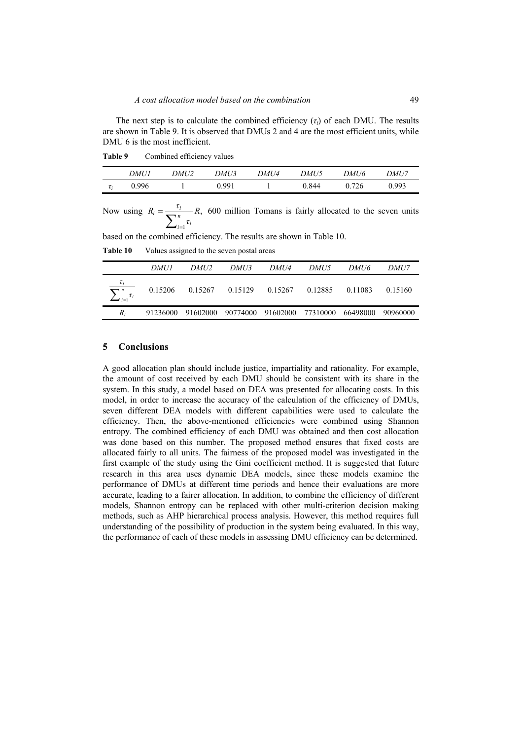The next step is to calculate the combined efficiency  $(\tau_i)$  of each DMU. The results are shown in Table 9. It is observed that DMUs 2 and 4 are the most efficient units, while DMU 6 is the most inefficient.

Table 9 Combined efficiency values

|          | DMU1  | DMU2 | DMU3  | DMU4 | DMU5  | DMU6  | DMU7  |
|----------|-------|------|-------|------|-------|-------|-------|
| $\tau_i$ | 0.996 |      | 0.991 |      | 0.844 | 0.726 | 0.993 |

Now using 1  $\tau_i = \frac{\tau_i}{\sum_{n} n} R,$  $\sum_{i=1}$   $\tau_i$  $R_i = \frac{\tau_i}{\sigma_i}$  *R τ*  $=\frac{c_i}{\sum_{i=1}^n \tau_i}$  R, 600 million Tomans is fairly allocated to the seven units

based on the combined efficiency. The results are shown in Table 10.

**Table 10** Values assigned to the seven postal areas

|                                   | DMU1    | DMU2 | <i>DMU3</i>         | <i>DMU4</i>                                           | DMU5 | DMU6    | <i>DMU7</i> |
|-----------------------------------|---------|------|---------------------|-------------------------------------------------------|------|---------|-------------|
| $\tau_i$<br>$\sum_{i=1}^n \tau_i$ | 0.15206 |      | $0.15267$ $0.15129$ | 0.15267 0.12885                                       |      | 0.11083 | 0.15160     |
| $R_i$                             |         |      |                     | 91236000 91602000 90774000 91602000 77310000 66498000 |      |         | 90960000    |

## **5 Conclusions**

A good allocation plan should include justice, impartiality and rationality. For example, the amount of cost received by each DMU should be consistent with its share in the system. In this study, a model based on DEA was presented for allocating costs. In this model, in order to increase the accuracy of the calculation of the efficiency of DMUs, seven different DEA models with different capabilities were used to calculate the efficiency. Then, the above-mentioned efficiencies were combined using Shannon entropy. The combined efficiency of each DMU was obtained and then cost allocation was done based on this number. The proposed method ensures that fixed costs are allocated fairly to all units. The fairness of the proposed model was investigated in the first example of the study using the Gini coefficient method. It is suggested that future research in this area uses dynamic DEA models, since these models examine the performance of DMUs at different time periods and hence their evaluations are more accurate, leading to a fairer allocation. In addition, to combine the efficiency of different models, Shannon entropy can be replaced with other multi-criterion decision making methods, such as AHP hierarchical process analysis. However, this method requires full understanding of the possibility of production in the system being evaluated. In this way, the performance of each of these models in assessing DMU efficiency can be determined.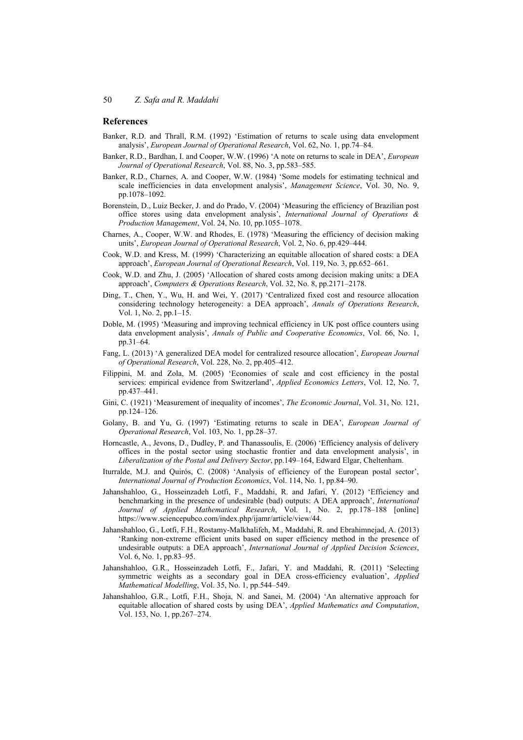#### **References**

- Banker, R.D. and Thrall, R.M. (1992) 'Estimation of returns to scale using data envelopment analysis', *European Journal of Operational Research*, Vol. 62, No. 1, pp.74–84.
- Banker, R.D., Bardhan, I. and Cooper, W.W. (1996) 'A note on returns to scale in DEA', *European Journal of Operational Research*, Vol. 88, No. 3, pp.583–585.
- Banker, R.D., Charnes, A. and Cooper, W.W. (1984) 'Some models for estimating technical and scale inefficiencies in data envelopment analysis', *Management Science*, Vol. 30, No. 9, pp.1078–1092.
- Borenstein, D., Luiz Becker, J. and do Prado, V. (2004) 'Measuring the efficiency of Brazilian post office stores using data envelopment analysis', *International Journal of Operations & Production Management*, Vol. 24, No. 10, pp.1055–1078.
- Charnes, A., Cooper, W.W. and Rhodes, E. (1978) 'Measuring the efficiency of decision making units', *European Journal of Operational Research*, Vol. 2, No. 6, pp.429–444.
- Cook, W.D. and Kress, M. (1999) 'Characterizing an equitable allocation of shared costs: a DEA approach', *European Journal of Operational Research*, Vol. 119, No. 3, pp.652–661.
- Cook, W.D. and Zhu, J. (2005) 'Allocation of shared costs among decision making units: a DEA approach', *Computers & Operations Research*, Vol. 32, No. 8, pp.2171–2178.
- Ding, T., Chen, Y., Wu, H. and Wei, Y. (2017) 'Centralized fixed cost and resource allocation considering technology heterogeneity: a DEA approach', *Annals of Operations Research*, Vol. 1, No. 2, pp.1–15.
- Doble, M. (1995) 'Measuring and improving technical efficiency in UK post office counters using data envelopment analysis', *Annals of Public and Cooperative Economics*, Vol. 66, No. 1, pp.31–64.
- Fang, L. (2013) 'A generalized DEA model for centralized resource allocation', *European Journal of Operational Research*, Vol. 228, No. 2, pp.405–412.
- Filippini, M. and Zola, M. (2005) 'Economies of scale and cost efficiency in the postal services: empirical evidence from Switzerland', *Applied Economics Letters*, Vol. 12, No. 7, pp.437–441.
- Gini, C. (1921) 'Measurement of inequality of incomes', *The Economic Journal*, Vol. 31, No. 121, pp.124–126.
- Golany, B. and Yu, G. (1997) 'Estimating returns to scale in DEA', *European Journal of Operational Research*, Vol. 103, No. 1, pp.28–37.
- Horncastle, A., Jevons, D., Dudley, P. and Thanassoulis, E. (2006) 'Efficiency analysis of delivery offices in the postal sector using stochastic frontier and data envelopment analysis', in *Liberalization of the Postal and Delivery Sector*, pp.149–164, Edward Elgar, Cheltenham.
- Iturralde, M.J. and Quirós, C. (2008) 'Analysis of efficiency of the European postal sector', *International Journal of Production Economics*, Vol. 114, No. 1, pp.84–90.
- Jahanshahloo, G., Hosseinzadeh Lotfi, F., Maddahi, R. and Jafari, Y. (2012) 'Efficiency and benchmarking in the presence of undesirable (bad) outputs: A DEA approach', *International Journal of Applied Mathematical Research*, Vol. 1, No. 2, pp.178–188 [online] https://www.sciencepubco.com/index.php/ijamr/article/view/44.
- Jahanshahloo, G., Lotfi, F.H., Rostamy-Malkhalifeh, M., Maddahi, R. and Ebrahimnejad, A. (2013) 'Ranking non-extreme efficient units based on super efficiency method in the presence of undesirable outputs: a DEA approach', *International Journal of Applied Decision Sciences*, Vol. 6, No. 1, pp.83–95.
- Jahanshahloo, G.R., Hosseinzadeh Lotfi, F., Jafari, Y. and Maddahi, R. (2011) 'Selecting symmetric weights as a secondary goal in DEA cross-efficiency evaluation', *Applied Mathematical Modelling*, Vol. 35, No. 1, pp.544–549.
- Jahanshahloo, G.R., Lotfi, F.H., Shoja, N. and Sanei, M. (2004) 'An alternative approach for equitable allocation of shared costs by using DEA', *Applied Mathematics and Computation*, Vol. 153, No. 1, pp.267–274.